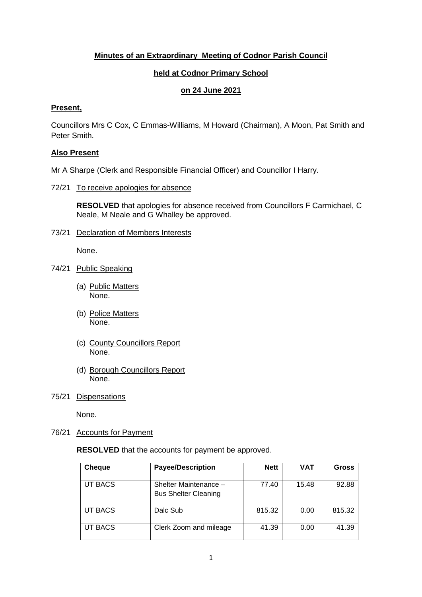# **Minutes of an Extraordinary Meeting of Codnor Parish Council**

# **held at Codnor Primary School**

# **on 24 June 2021**

## **Present,**

Councillors Mrs C Cox, C Emmas-Williams, M Howard (Chairman), A Moon, Pat Smith and Peter Smith.

## **Also Present**

Mr A Sharpe (Clerk and Responsible Financial Officer) and Councillor I Harry.

## 72/21 To receive apologies for absence

**RESOLVED** that apologies for absence received from Councillors F Carmichael, C Neale, M Neale and G Whalley be approved.

73/21 Declaration of Members Interests

None.

- 74/21 Public Speaking
	- (a) Public Matters None.
	- (b) Police Matters None.
	- (c) County Councillors Report None.
	- (d) Borough Councillors Report None.
- 75/21 Dispensations

None.

### 76/21 Accounts for Payment

**RESOLVED** that the accounts for payment be approved.

| <b>Cheque</b>  | <b>Payee/Description</b>                             | <b>Nett</b> | VAT   | <b>Gross</b> |
|----------------|------------------------------------------------------|-------------|-------|--------------|
| <b>UT BACS</b> | Shelter Maintenance -<br><b>Bus Shelter Cleaning</b> | 77.40       | 15.48 | 92.88        |
| <b>UT BACS</b> | Dalc Sub                                             | 815.32      | 0.00  | 815.32       |
| <b>UT BACS</b> | Clerk Zoom and mileage                               | 41.39       | 0.00  | 41.39        |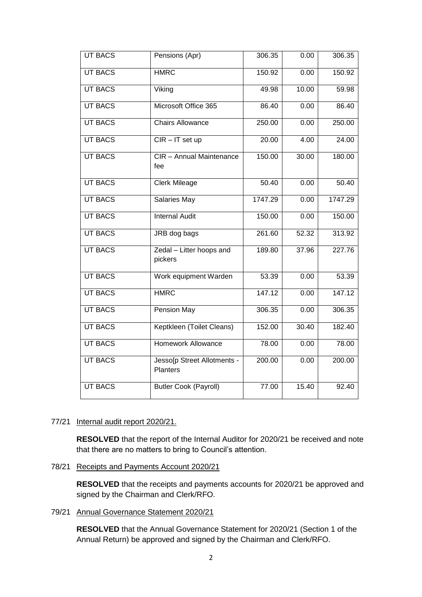| <b>UT BACS</b> | Pensions (Apr)                                 | 306.35  | 0.00  | 306.35  |
|----------------|------------------------------------------------|---------|-------|---------|
| <b>UT BACS</b> | <b>HMRC</b>                                    | 150.92  | 0.00  | 150.92  |
| <b>UT BACS</b> | Viking                                         | 49.98   | 10.00 | 59.98   |
| <b>UT BACS</b> | Microsoft Office 365                           | 86.40   | 0.00  | 86.40   |
| <b>UT BACS</b> | <b>Chairs Allowance</b>                        | 250.00  | 0.00  | 250.00  |
| <b>UT BACS</b> | $CIR - IT$ set up                              | 20.00   | 4.00  | 24.00   |
| <b>UT BACS</b> | CIR - Annual Maintenance<br>fee                | 150.00  | 30.00 | 180.00  |
| <b>UT BACS</b> | <b>Clerk Mileage</b>                           | 50.40   | 0.00  | 50.40   |
| <b>UT BACS</b> | <b>Salaries May</b>                            | 1747.29 | 0.00  | 1747.29 |
| <b>UT BACS</b> | <b>Internal Audit</b>                          | 150.00  | 0.00  | 150.00  |
| <b>UT BACS</b> | JRB dog bags                                   | 261.60  | 52.32 | 313.92  |
| <b>UT BACS</b> | Zedal - Litter hoops and<br>pickers            | 189.80  | 37.96 | 227.76  |
| <b>UT BACS</b> | Work equipment Warden                          | 53.39   | 0.00  | 53.39   |
| <b>UT BACS</b> | <b>HMRC</b>                                    | 147.12  | 0.00  | 147.12  |
| <b>UT BACS</b> | Pension May                                    | 306.35  | 0.00  | 306.35  |
| <b>UT BACS</b> | Keptkleen (Toilet Cleans)                      | 152.00  | 30.40 | 182.40  |
| <b>UT BACS</b> | <b>Homework Allowance</b>                      | 78.00   | 0.00  | 78.00   |
| <b>UT BACS</b> | Jesso[p Street Allotments -<br><b>Planters</b> | 200.00  | 0.00  | 200.00  |
| <b>UT BACS</b> | <b>Butler Cook (Payroll)</b>                   | 77.00   | 15.40 | 92.40   |

## 77/21 Internal audit report 2020/21.

**RESOLVED** that the report of the Internal Auditor for 2020/21 be received and note that there are no matters to bring to Council's attention.

78/21 Receipts and Payments Account 2020/21

**RESOLVED** that the receipts and payments accounts for 2020/21 be approved and signed by the Chairman and Clerk/RFO.

79/21 Annual Governance Statement 2020/21

**RESOLVED** that the Annual Governance Statement for 2020/21 (Section 1 of the Annual Return) be approved and signed by the Chairman and Clerk/RFO.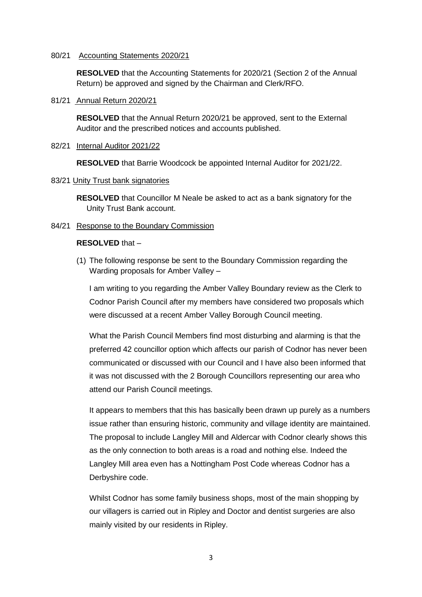### 80/21 Accounting Statements 2020/21

**RESOLVED** that the Accounting Statements for 2020/21 (Section 2 of the Annual Return) be approved and signed by the Chairman and Clerk/RFO.

### 81/21 Annual Return 2020/21

**RESOLVED** that the Annual Return 2020/21 be approved, sent to the External Auditor and the prescribed notices and accounts published.

## 82/21 Internal Auditor 2021/22

**RESOLVED** that Barrie Woodcock be appointed Internal Auditor for 2021/22.

## 83/21 Unity Trust bank signatories

**RESOLVED** that Councillor M Neale be asked to act as a bank signatory for the Unity Trust Bank account.

## 84/21 Response to the Boundary Commission

## **RESOLVED** that –

(1) The following response be sent to the Boundary Commission regarding the Warding proposals for Amber Valley –

I am writing to you regarding the Amber Valley Boundary review as the Clerk to Codnor Parish Council after my members have considered two proposals which were discussed at a recent Amber Valley Borough Council meeting.

What the Parish Council Members find most disturbing and alarming is that the preferred 42 councillor option which affects our parish of Codnor has never been communicated or discussed with our Council and I have also been informed that it was not discussed with the 2 Borough Councillors representing our area who attend our Parish Council meetings.

It appears to members that this has basically been drawn up purely as a numbers issue rather than ensuring historic, community and village identity are maintained. The proposal to include Langley Mill and Aldercar with Codnor clearly shows this as the only connection to both areas is a road and nothing else. Indeed the Langley Mill area even has a Nottingham Post Code whereas Codnor has a Derbyshire code.

Whilst Codnor has some family business shops, most of the main shopping by our villagers is carried out in Ripley and Doctor and dentist surgeries are also mainly visited by our residents in Ripley.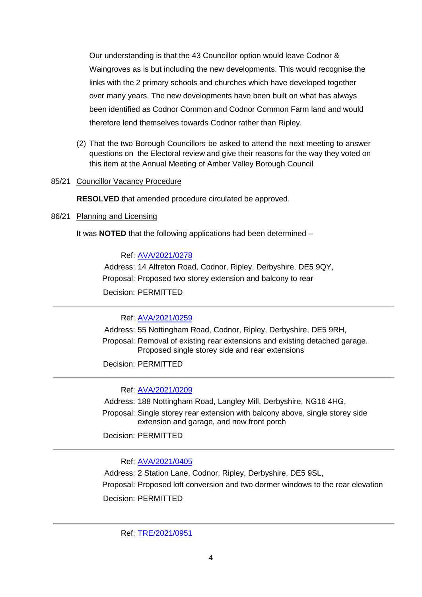Our understanding is that the 43 Councillor option would leave Codnor & Waingroves as is but including the new developments. This would recognise the links with the 2 primary schools and churches which have developed together over many years. The new developments have been built on what has always been identified as Codnor Common and Codnor Common Farm land and would therefore lend themselves towards Codnor rather than Ripley.

(2) That the two Borough Councillors be asked to attend the next meeting to answer questions on the Electoral review and give their reasons for the way they voted on this item at the Annual Meeting of Amber Valley Borough Council

## 85/21 Councillor Vacancy Procedure

**RESOLVED** that amended procedure circulated be approved.

## 86/21 Planning and Licensing

It was **NOTED** that the following applications had been determined –

## Ref: [AVA/2021/0278](https://www.ambervalley.gov.uk/planapps?refval=AVA-2021-0278)

Address: 14 Alfreton Road, Codnor, Ripley, Derbyshire, DE5 9QY, Proposal: Proposed two storey extension and balcony to rear Decision: PERMITTED

Ref: [AVA/2021/0259](https://www.ambervalley.gov.uk/planapps?refval=AVA-2021-0259)

Address: 55 Nottingham Road, Codnor, Ripley, Derbyshire, DE5 9RH,

Proposal: Removal of existing rear extensions and existing detached garage. Proposed single storey side and rear extensions

Decision: PERMITTED

Ref: [AVA/2021/0209](https://www.ambervalley.gov.uk/planapps?refval=AVA-2021-0209)

Address: 188 Nottingham Road, Langley Mill, Derbyshire, NG16 4HG,

Proposal: Single storey rear extension with balcony above, single storey side extension and garage, and new front porch

Decision: PERMITTED

Ref: [AVA/2021/0405](https://www.ambervalley.gov.uk/planapps?refval=AVA-2021-0405)

Address: 2 Station Lane, Codnor, Ripley, Derbyshire, DE5 9SL, Proposal: Proposed loft conversion and two dormer windows to the rear elevation

Decision: PERMITTED

Ref: [TRE/2021/0951](https://www.ambervalley.gov.uk/planapps?refval=TRE-2021-0951)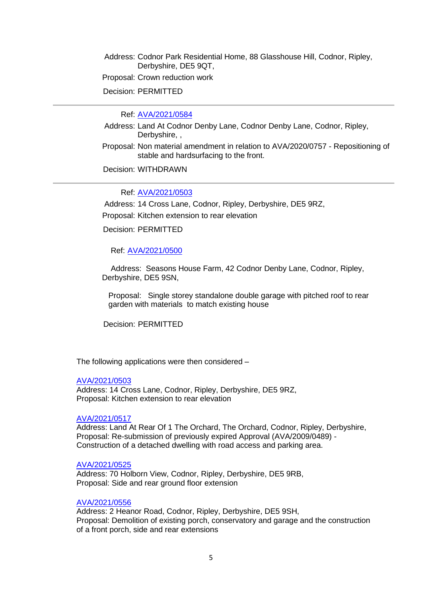Address: Codnor Park Residential Home, 88 Glasshouse Hill, Codnor, Ripley, Derbyshire, DE5 9QT,

Proposal: Crown reduction work

Decision: PERMITTED

Ref: [AVA/2021/0584](https://www.ambervalley.gov.uk/planapps?refval=AVA-2021-0584)

- Address: Land At Codnor Denby Lane, Codnor Denby Lane, Codnor, Ripley, Derbyshire, ,
- Proposal: Non material amendment in relation to AVA/2020/0757 Repositioning of stable and hardsurfacing to the front.

Decision: WITHDRAWN

Ref: [AVA/2021/0503](https://www.ambervalley.gov.uk/planapps?refval=AVA-2021-0503)

Address: 14 Cross Lane, Codnor, Ripley, Derbyshire, DE5 9RZ,

Proposal: Kitchen extension to rear elevation

Decision: PERMITTED

Ref: [AVA/2021/0500](https://www.ambervalley.gov.uk/planapps?refval=AVA-2021-0500)

 Address: Seasons House Farm, 42 Codnor Denby Lane, Codnor, Ripley, Derbyshire, DE5 9SN,

Proposal: Single storey standalone double garage with pitched roof to rear garden with materials to match existing house

Decision: PERMITTED

The following applications were then considered –

#### [AVA/2021/0503](https://www.ambervalley.gov.uk/planapps?refval=AVA-2021-0503)

Address: 14 Cross Lane, Codnor, Ripley, Derbyshire, DE5 9RZ, Proposal: Kitchen extension to rear elevation

## [AVA/2021/0517](https://www.ambervalley.gov.uk/planapps?refval=AVA-2021-0517)

Address: Land At Rear Of 1 The Orchard, The Orchard, Codnor, Ripley, Derbyshire, Proposal: Re-submission of previously expired Approval (AVA/2009/0489) - Construction of a detached dwelling with road access and parking area.

### [AVA/2021/0525](https://www.ambervalley.gov.uk/planapps?refval=AVA-2021-0525)

Address: 70 Holborn View, Codnor, Ripley, Derbyshire, DE5 9RB, Proposal: Side and rear ground floor extension

#### [AVA/2021/0556](https://www.ambervalley.gov.uk/planapps?refval=AVA-2021-0556)

Address: 2 Heanor Road, Codnor, Ripley, Derbyshire, DE5 9SH, Proposal: Demolition of existing porch, conservatory and garage and the construction of a front porch, side and rear extensions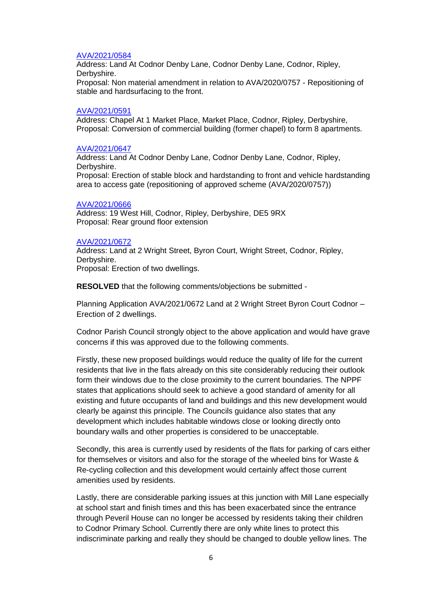#### [AVA/2021/0584](https://www.ambervalley.gov.uk/planapps?refval=AVA-2021-0584)

Address: Land At Codnor Denby Lane, Codnor Denby Lane, Codnor, Ripley, Derbyshire. Proposal: Non material amendment in relation to AVA/2020/0757 - Repositioning of

stable and hardsurfacing to the front.

#### [AVA/2021/0591](https://www.ambervalley.gov.uk/planapps?refval=AVA-2021-0591)

Address: Chapel At 1 Market Place, Market Place, Codnor, Ripley, Derbyshire, Proposal: Conversion of commercial building (former chapel) to form 8 apartments.

#### [AVA/2021/0647](https://www.ambervalley.gov.uk/planapps?refval=AVA-2021-0647)

Address: Land At Codnor Denby Lane, Codnor Denby Lane, Codnor, Ripley, Derbyshire. Proposal: Erection of stable block and hardstanding to front and vehicle hardstanding area to access gate (repositioning of approved scheme (AVA/2020/0757))

#### [AVA/2021/0666](https://www.ambervalley.gov.uk/planapps?refval=AVA-2021-0666)

Address: 19 West Hill, Codnor, Ripley, Derbyshire, DE5 9RX Proposal: Rear ground floor extension

#### [AVA/2021/0672](https://www.ambervalley.gov.uk/planapps?refval=AVA-2021-0672)

Address: Land at 2 Wright Street, Byron Court, Wright Street, Codnor, Ripley, Derbyshire. Proposal: Erection of two dwellings.

**RESOLVED** that the following comments/objections be submitted -

Planning Application AVA/2021/0672 Land at 2 Wright Street Byron Court Codnor – Erection of 2 dwellings.

Codnor Parish Council strongly object to the above application and would have grave concerns if this was approved due to the following comments.

Firstly, these new proposed buildings would reduce the quality of life for the current residents that live in the flats already on this site considerably reducing their outlook form their windows due to the close proximity to the current boundaries. The NPPF states that applications should seek to achieve a good standard of amenity for all existing and future occupants of land and buildings and this new development would clearly be against this principle. The Councils guidance also states that any development which includes habitable windows close or looking directly onto boundary walls and other properties is considered to be unacceptable.

Secondly, this area is currently used by residents of the flats for parking of cars either for themselves or visitors and also for the storage of the wheeled bins for Waste & Re-cycling collection and this development would certainly affect those current amenities used by residents.

Lastly, there are considerable parking issues at this junction with Mill Lane especially at school start and finish times and this has been exacerbated since the entrance through Peveril House can no longer be accessed by residents taking their children to Codnor Primary School. Currently there are only white lines to protect this indiscriminate parking and really they should be changed to double yellow lines. The